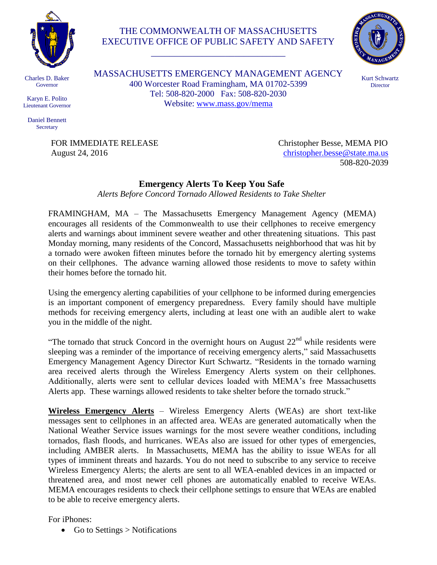

## THE COMMONWEALTH OF MASSACHUSETTS EXECUTIVE OFFICE OF PUBLIC SAFETY AND SAFETY

\_\_\_\_\_\_\_\_\_\_\_\_\_\_\_\_\_\_\_\_\_\_\_\_\_\_\_\_\_



Charles D. Baker Governor

Karyn E. Polito Lieutenant Governor

Daniel Bennett **Secretary** 

MASSACHUSETTS EMERGENCY MANAGEMENT AGENCY 400 Worcester Road Framingham, MA 01702-5399 Tel: 508-820-2000 Fax: 508-820-2030 Website: [www.mass.gov/mema](http://www.mass.gov/mema)

Kurt Schwartz **Director** 

FOR IMMEDIATE RELEASE Christopher Besse, MEMA PIO August 24, 2016 [christopher.besse@state.ma.us](mailto:christopher.besse@state.ma.us) 508-820-2039

## **Emergency Alerts To Keep You Safe**

*Alerts Before Concord Tornado Allowed Residents to Take Shelter*

FRAMINGHAM, MA – The Massachusetts Emergency Management Agency (MEMA) encourages all residents of the Commonwealth to use their cellphones to receive emergency alerts and warnings about imminent severe weather and other threatening situations. This past Monday morning, many residents of the Concord, Massachusetts neighborhood that was hit by a tornado were awoken fifteen minutes before the tornado hit by emergency alerting systems on their cellphones. The advance warning allowed those residents to move to safety within their homes before the tornado hit.

Using the emergency alerting capabilities of your cellphone to be informed during emergencies is an important component of emergency preparedness. Every family should have multiple methods for receiving emergency alerts, including at least one with an audible alert to wake you in the middle of the night.

"The tornado that struck Concord in the overnight hours on August  $22<sup>nd</sup>$  while residents were sleeping was a reminder of the importance of receiving emergency alerts," said Massachusetts Emergency Management Agency Director Kurt Schwartz. "Residents in the tornado warning area received alerts through the Wireless Emergency Alerts system on their cellphones. Additionally, alerts were sent to cellular devices loaded with MEMA's free Massachusetts Alerts app. These warnings allowed residents to take shelter before the tornado struck."

**Wireless Emergency Alerts** – Wireless Emergency Alerts (WEAs) are short text-like messages sent to cellphones in an affected area. WEAs are generated automatically when the National Weather Service issues warnings for the most severe weather conditions, including tornados, flash floods, and hurricanes. WEAs also are issued for other types of emergencies, including AMBER alerts. In Massachusetts, MEMA has the ability to issue WEAs for all types of imminent threats and hazards. You do not need to subscribe to any service to receive Wireless Emergency Alerts; the alerts are sent to all WEA-enabled devices in an impacted or threatened area, and most newer cell phones are automatically enabled to receive WEAs. MEMA encourages residents to check their cellphone settings to ensure that WEAs are enabled to be able to receive emergency alerts.

For iPhones:

• Go to Settings  $>$  Notifications